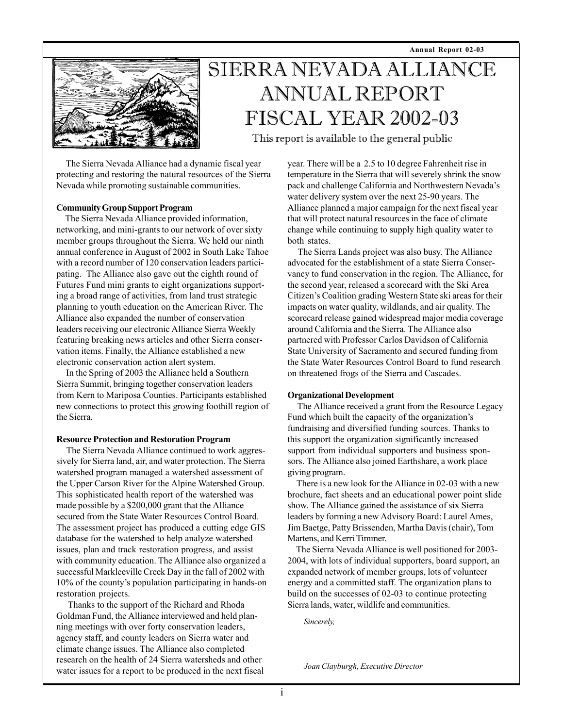**Annual Report 02-03**



# SIERRA NEVADA ALLIANCE ANNUAL REPORT FISCAL YEAR 2002-03

This report is available to the general public

 The Sierra Nevada Alliance had a dynamic fiscal year protecting and restoring the natural resources of the Sierra Nevada while promoting sustainable communities.

#### **Community Group Support Program**

 The Sierra Nevada Alliance provided information, networking, and mini-grants to our network of over sixty member groups throughout the Sierra. We held our ninth annual conference in August of 2002 in South Lake Tahoe with a record number of 120 conservation leaders participating. The Alliance also gave out the eighth round of Futures Fund mini grants to eight organizations supporting a broad range of activities, from land trust strategic planning to youth education on the American River. The Alliance also expanded the number of conservation leaders receiving our electronic Alliance Sierra Weekly featuring breaking news articles and other Sierra conservation items. Finally, the Alliance established a new electronic conservation action alert system.

 In the Spring of 2003 the Alliance held a Southern Sierra Summit, bringing together conservation leaders from Kern to Mariposa Counties. Participants established new connections to protect this growing foothill region of the Sierra.

#### **Resource Protection and Restoration Program**

 The Sierra Nevada Alliance continued to work aggressively for Sierra land, air, and water protection. The Sierra watershed program managed a watershed assessment of the Upper Carson River for the Alpine Watershed Group. This sophisticated health report of the watershed was made possible by a \$200,000 grant that the Alliance secured from the State Water Resources Control Board. The assessment project has produced a cutting edge GIS database for the watershed to help analyze watershed issues, plan and track restoration progress, and assist with community education. The Alliance also organized a successful Markleeville Creek Day in the fall of 2002 with 10% of the county's population participating in hands-on restoration projects.

 Thanks to the support of the Richard and Rhoda Goldman Fund, the Alliance interviewed and held planning meetings with over forty conservation leaders, agency staff, and county leaders on Sierra water and climate change issues. The Alliance also completed research on the health of 24 Sierra watersheds and other water issues for a report to be produced in the next fiscal year. There will be a 2.5 to 10 degree Fahrenheit rise in temperature in the Sierra that will severely shrink the snow pack and challenge California and Northwestern Nevada's water delivery system over the next 25-90 years. The Alliance planned a major campaign for the next fiscal year that will protect natural resources in the face of climate change while continuing to supply high quality water to both states.

 The Sierra Lands project was also busy. The Alliance advocated for the establishment of a state Sierra Conservancy to fund conservation in the region. The Alliance, for the second year, released a scorecard with the Ski Area Citizen's Coalition grading Western State ski areas for their impacts on water quality, wildlands, and air quality. The scorecard release gained widespread major media coverage around California and the Sierra. The Alliance also partnered with Professor Carlos Davidson of California State University of Sacramento and secured funding from the State Water Resources Control Board to fund research on threatened frogs of the Sierra and Cascades.

### **Organizational Development**

 The Alliance received a grant from the Resource Legacy Fund which built the capacity of the organization's fundraising and diversified funding sources. Thanks to this support the organization significantly increased support from individual supporters and business sponsors. The Alliance also joined Earthshare, a work place giving program.

 There is a new look for the Alliance in 02-03 with a new brochure, fact sheets and an educational power point slide show. The Alliance gained the assistance of six Sierra leaders by forming a new Advisory Board: Laurel Ames, Jim Baetge, Patty Brissenden, Martha Davis (chair), Tom Martens, and Kerri Timmer.

 The Sierra Nevada Alliance is well positioned for 2003- 2004, with lots of individual supporters, board support, an expanded network of member groups, lots of volunteer energy and a committed staff. The organization plans to build on the successes of 02-03 to continue protecting Sierra lands, water, wildlife and communities.

*Sincerely,*

*Joan Clayburgh, Executive Director*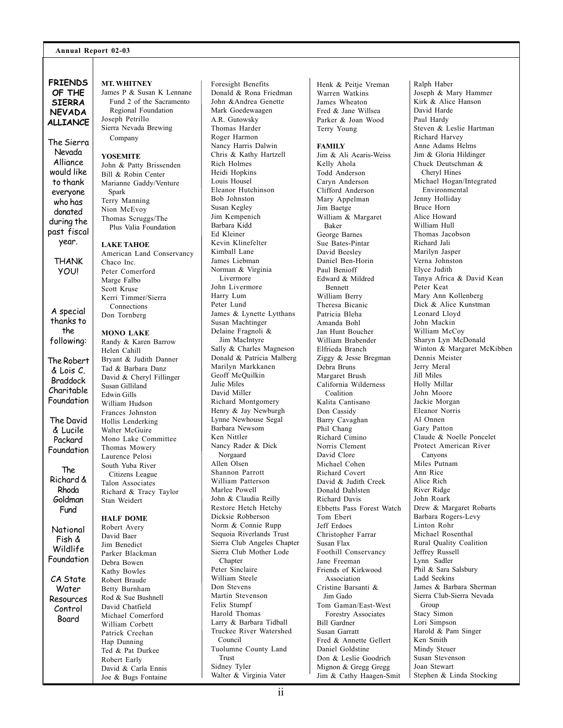#### **Annual Report 02-03**

**FRIENDS OF THE SIERRA NEVADA ALLIANCE**

The Sierra Nevada Alliance would like to thank everyone who has donated during the past fiscal year.

> THANK YOU!

A special thanks to the following:

The Robert & Lois C. Braddock Charitable

Foundation The David & Lucile Packard Foundation

The Richard & Rhoda Goldman Fund

National Fish & Wildlife Foundation

CA State Water Resources Control Board

**MT. WHITNEY**

James P & Susan K Lennane Fund 2 of the Sacramento Regional Foundation Joseph Petrillo Sierra Nevada Brewing Company

#### **YOSEMITE**

John & Patty Brissenden Bill & Robin Center Marianne Gaddy/Venture Spark Terry Manning Nion McEvoy Thomas Scruggs/The Plus Valia Foundation

#### **LAKE TAHOE**

American Land Conservancy Chaco Inc. Peter Comerford Marge Falbo Scott Kruse Kerri Timmer/Sierra **Connections** Don Tornberg

#### **MONO LAKE**

Randy & Karen Barrow Helen Cahill Bryant & Judith Danner Tad & Barbara Danz David & Cheryl Fillinger Susan Gilliland Edwin Gills William Hudson Frances Johnston Hollis Lenderking Walter McGuire Mono Lake Committee Thomas Mowery Laurence Pelosi South Yuba River Citizens League Talon Associates Richard & Tracy Taylor Stan Weidert **HALF DOME**

Robert Avery David Baer Jim Benedict Parker Blackman Debra Bowen Kathy Bowles Robert Braude Betty Burnham Rod & Sue Bushnell David Chatfield Michael Comerford William Corbett Patrick Creehan Hap Dunning Ted & Pat Durkee Robert Early David & Carla Ennis Joe & Bugs Fontaine

Donald & Rona Friedman John &Andrea Genette Mark Goedewaagen A.R. Gutowsky Thomas Harder Roger Harmon Nancy Harris Dalwin Chris & Kathy Hartzell Rich Holmes Heidi Hopkins Louis Housel Eleanor Hutchinson Bob Johnston Susan Kegley Jim Kempenich Barbara Kidd Ed Kleiner Kevin Klinefelter Kimball Lane James Liebman Norman & Virginia Livermore John Livermore Harry Lum Peter Lund James & Lynette Lytthans Susan Machtinger Delaine Fragnoli & Jim MacIntyre Sally & Charles Magneson Donald & Patricia Malberg Marilyn Markkanen Geoff McQuilkin Julie Miles David Miller Richard Montgomery Henry & Jay Newburgh Lynne Newhouse Segal Barbara Newsom Ken Nittler Nancy Rader & Dick Norgaard Allen Olsen Shannon Parrott William Patterson Marlee Powell John & Claudia Reilly Restore Hetch Hetchy Dicksie Robberson Norm & Connie Rupp Sequoia Riverlands Trust Sierra Club Angeles Chapter Sierra Club Mother Lode Chapter Peter Sinclaire William Steele Don Stevens Martin Stevenson Felix Stumpf Harold Thomas Larry & Barbara Tidball Truckee River Watershed Council Tuolumne County Land Trust Sidney Tyler Walter & Virginia Vater

Foresight Benefits

Henk & Peitje Vreman Warren Watkins James Wheaton Fred & Jane Willsea Parker & Joan Wood Terry Young

**FAMILY**

Jim & Ali Acaris-Weiss Kelly Ahola Todd Anderson Caryn Anderson Clifford Anderson Mary Appelman Jim Baetge William & Margaret Baker George Barnes Sue Bates-Pintar David Beesley Daniel Ben-Horin Paul Benioff Edward & Mildred Bennett William Berry Theresa Bicanic Patricia Bleha Amanda Bohl Jan Hunt Boucher William Brabender Elfrieda Branch Ziggy & Jesse Bregman Debra Bruns Margaret Brush California Wilderness Coalition Kalita Cantisano Don Cassidy Barry Cavaghan Phil Chang Richard Cimino Norris Clement David Clore Michael Cohen Richard Covert David & Judith Creek Donald Dahlsten Richard Davis Ebbetts Pass Forest Watch Tom Ebert Jeff Erdoes Christopher Farrar Susan Flax Foothill Conservancy Jane Freeman Friends of Kirkwood Association Cristine Barsanti & Jim Gado Tom Gaman/East-West Forestry Associates Bill Gardner Susan Garratt Fred & Annette Gellert Daniel Goldstine Don & Leslie Goodrich Mignon & Gregg Gregg Jim & Cathy Haagen-Smit

Ralph Haber Joseph & Mary Hammer Kirk & Alice Hanson David Harde Paul Hardy Steven & Leslie Hartman Richard Harvey Anne Adams Helms Jim & Gloria Hildinger Chuck Deutschman & Cheryl Hines Michael Hogan/Integrated Environmental Jenny Holliday Bruce Horn Alice Howard William Hull Thomas Jacobson Richard Jali Marilyn Jasper Verna Johnston Elyce Judith Tanya Africa & David Kean Peter Keat Mary Ann Kollenberg Dick & Alice Kunstman Leonard Lloyd John Mackin William McCoy Sharyn Lyn McDonald Winton & Margaret McKibben Dennis Meister Jerry Meral Jill Miles Holly Millar John Moore Jackie Morgan Eleanor Norris Al Onnen Gary Patton Claude & Noelle Poncelet Protect American River Canyons Miles Putnam Ann Rice Alice Rich River Ridge John Roark Drew & Margaret Robarts Barbara Rogers-Levy Linton Rohr Michael Rosenthal Rural Quality Coalition Jeffrey Russell Lynn Sadler Phil & Sara Salsbury Ladd Seekins James & Barbara Sherman Sierra Club-Sierra Nevada Group Stacy Simon Lori Simpson Harold & Pam Singer Ken Smith Mindy Steuer Susan Stevenson Joan Stewart Stephen & Linda Stocking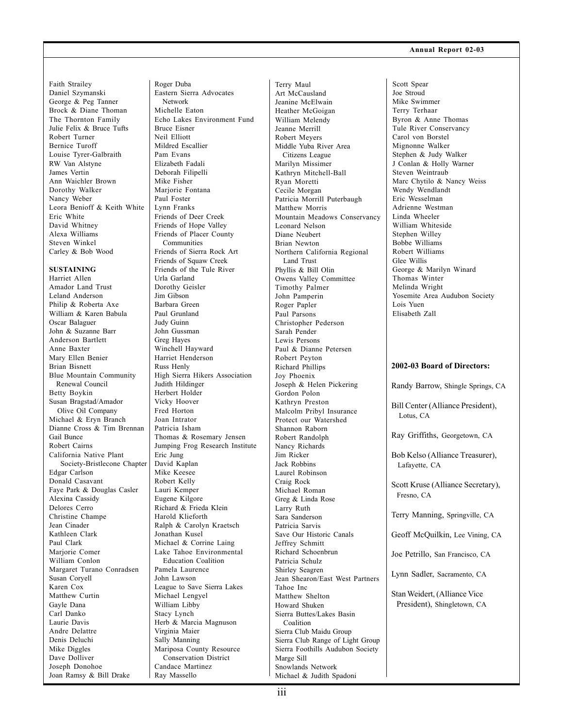#### Faith Strailey Daniel Szymanski George & Peg Tanner Brock & Diane Thoman The Thornton Family Julie Felix & Bruce Tufts Robert Turner Bernice Turoff Louise Tyrer-Galbraith RW Van Alstyne James Vertin Ann Waichler Brown Dorothy Walker Nancy Weber Leora Benioff & Keith White Eric White David Whitney Alexa Williams Steven Winkel Carley & Bob Wood

#### **SUSTAINING**

Harriet Allen Amador Land Trust Leland Anderson Philip & Roberta Axe William & Karen Babula Oscar Balaguer John & Suzanne Barr Anderson Bartlett Anne Baxter Mary Ellen Benier Brian Bisnett Blue Mountain Community Renewal Council Betty Boykin Susan Bragstad/Amador Olive Oil Company Michael & Eryn Branch Dianne Cross & Tim Brennan Gail Bunce Robert Cairns California Native Plant Society-Bristlecone Chapter Edgar Carlson Donald Casavant Faye Park & Douglas Casler Alexina Cassidy Delores Cerro Christine Champe Jean Cinader Kathleen Clark Paul Clark Marjorie Comer William Conlon Margaret Turano Conradsen Susan Coryell Karen Cox Matthew Curtin Gayle Dana Carl Danko Laurie Davis Andre Delattre Denis Deluchi Mike Diggles Dave Dolliver Joseph Donohoe Joan Ramsy & Bill Drake

Roger Duba Eastern Sierra Advocates Network Michelle Eaton Echo Lakes Environment Fund Bruce Eisner Neil Elliott Mildred Escallier Pam Evans Elizabeth Fadali Deborah Filipelli Mike Fisher Mariorie Fontana Paul Foster Lynn Franks Friends of Deer Creek Friends of Hope Valley Friends of Placer County Communities Friends of Sierra Rock Art Friends of Squaw Creek Friends of the Tule River Urla Garland Dorothy Geisler Jim Gibson Barbara Green Paul Grunland Judy Guinn John Gussman Greg Hayes Winchell Hayward Harriet Henderson Russ Henly High Sierra Hikers Association Judith Hildinger Herbert Holder Vicky Hoover Fred Horton Joan Intrator Patricia Isham Thomas & Rosemary Jensen Jumping Frog Research Institute Eric Jung David Kaplan Mike Keesee Robert Kelly Lauri Kemper Eugene Kilgore Richard & Frieda Klein Harold Klieforth Ralph & Carolyn Kraetsch Jonathan Kusel Michael & Corrine Laing Lake Tahoe Environmental Education Coalition Pamela Laurence John Lawson League to Save Sierra Lakes Michael Lengyel William Libby Stacy Lynch Herb & Marcia Magnuson Virginia Maier Sally Manning Mariposa County Resource Conservation District Candace Martinez Ray Massello

Terry Maul Art McCausland Jeanine McElwain Heather McGoigan William Melendy Jeanne Merrill Robert Meyers Middle Yuba River Area Citizens League Marilyn Missimer Kathryn Mitchell-Ball Ryan Moretti Cecile Morgan Patricia Morrill Puterbaugh Matthew Morris Mountain Meadows Conservancy Leonard Nelson Diane Neubert Brian Newton Northern California Regional Land Trust Phyllis & Bill Olin Owens Valley Committee Timothy Palmer John Pamperin Roger Papler Paul Parsons Christopher Pederson Sarah Pender Lewis Persons Paul & Dianne Petersen Robert Peyton Richard Phillips Joy Phoenix Joseph & Helen Pickering Gordon Polon Kathryn Preston Malcolm Pribyl Insurance Protect our Watershed Shannon Raborn Robert Randolph Nancy Richards Jim Ricker Jack Robbins Laurel Robinson Craig Rock Michael Roman Greg & Linda Rose Larry Ruth Sara Sanderson Patricia Sarvis Save Our Historic Canals Jeffrey Schmitt Richard Schoenbrun Patricia Schulz Shirley Seagren Jean Shearon/East West Partners Tahoe Inc Matthew Shelton Howard Shuken Sierra Buttes/Lakes Basin Coalition Sierra Club Maidu Group Sierra Club Range of Light Group Sierra Foothills Audubon Society Marge Sill Snowlands Network Michael & Judith Spadoni

#### **Annual Report 02-03**

**2002-03 Board of Directors:** Randy Barrow, Shingle Springs, CA Bill Center (Alliance President), Lotus, CA Ray Griffiths, Georgetown, CA Scott Spear Joe Stroud Mike Swimmer Terry Terhaar Byron & Anne Thomas Tule River Conservancy Carol von Borstel Mignonne Walker Stephen & Judy Walker J Conlan & Holly Warner Steven Weintraub Marc Chytilo & Nancy Weiss Wendy Wendlandt Eric Wesselman Adrienne Westman Linda Wheeler William Whiteside Stephen Willey Bobbe Williams Robert Williams Glee Willis George & Marilyn Winard Thomas Winter Melinda Wright Yosemite Area Audubon Society Lois Yuen Elisabeth Zall

Bob Kelso (Alliance Treasurer), Lafayette, CA

Scott Kruse (Alliance Secretary), Fresno, CA

Terry Manning, Springville, CA

Geoff McQuilkin, Lee Vining, CA

Joe Petrillo, San Francisco, CA

Lynn Sadler, Sacramento, CA

Stan Weidert, (Alliance Vice President), Shingletown, CA